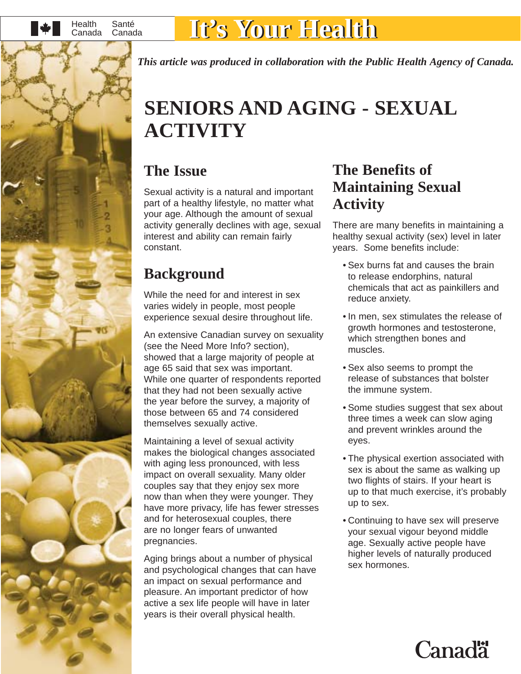

### Canada **It's Your Health It's Your Health**

*This article was produced in collaboration with the Public Health Agency of Canada.* 

### **SENIORS AND AGING - SEXUAL ACTIVITY**

#### **The Issue**

Sexual activity is a natural and important part of a healthy lifestyle, no matter what your age. Although the amount of sexual activity generally declines with age, sexual interest and ability can remain fairly constant.

### **Background**

While the need for and interest in sex varies widely in people, most people experience sexual desire throughout life.

An extensive Canadian survey on sexuality (see the Need More Info? section), showed that a large majority of people at age 65 said that sex was important. While one quarter of respondents reported that they had not been sexually active the year before the survey, a majority of those between 65 and 74 considered themselves sexually active.

Maintaining a level of sexual activity makes the biological changes associated with aging less pronounced, with less impact on overall sexuality. Many older couples say that they enjoy sex more now than when they were younger. They have more privacy, life has fewer stresses and for heterosexual couples, there are no longer fears of unwanted pregnancies.

Aging brings about a number of physical and psychological changes that can have an impact on sexual performance and pleasure. An important predictor of how active a sex life people will have in later years is their overall physical health.

#### **The Benefits of Maintaining Sexual Activity**

There are many benefits in maintaining a healthy sexual activity (sex) level in later years. Some benefits include:

- Sex burns fat and causes the brain to release endorphins, natural chemicals that act as painkillers and reduce anxiety.
- In men, sex stimulates the release of growth hormones and testosterone, which strengthen bones and muscles.
- Sex also seems to prompt the release of substances that bolster the immune system.
- Some studies suggest that sex about three times a week can slow aging and prevent wrinkles around the eyes.
- The physical exertion associated with sex is about the same as walking up two flights of stairs. If your heart is up to that much exercise, it's probably up to sex.
- Continuing to have sex will preserve your sexual vigour beyond middle age. Sexually active people have higher levels of naturally produced sex hormones.

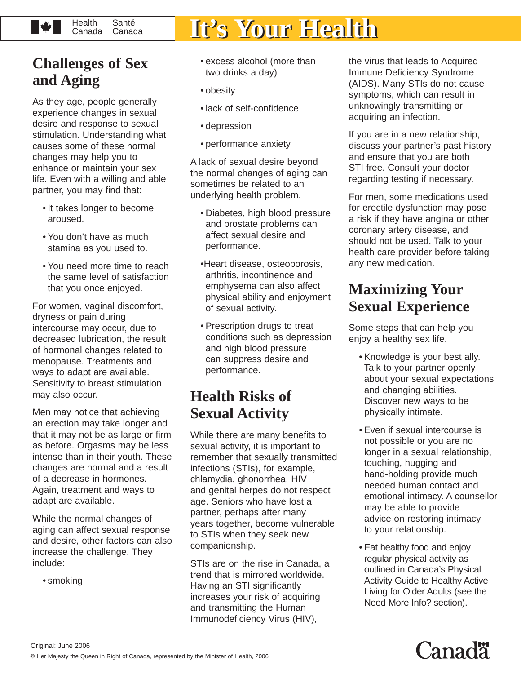#### **Health** Santé<br>Canada **W** Canada

# Canada **It's Your Health It's Your Health**

#### **Challenges of Sex and Aging**

As they age, people generally experience changes in sexual desire and response to sexual stimulation. Understanding what causes some of these normal changes may help you to enhance or maintain your sex life. Even with a willing and able partner, you may find that:

- It takes longer to become aroused.
- You don't have as much stamina as you used to.
- You need more time to reach the same level of satisfaction that you once enjoyed.

For women, vaginal discomfort, dryness or pain during intercourse may occur, due to decreased lubrication, the result of hormonal changes related to menopause. Treatments and ways to adapt are available. Sensitivity to breast stimulation may also occur.

Men may notice that achieving an erection may take longer and that it may not be as large or firm as before. Orgasms may be less intense than in their youth. These changes are normal and a result of a decrease in hormones. Again, treatment and ways to adapt are available.

While the normal changes of aging can affect sexual response and desire, other factors can also increase the challenge. They include:

• smoking

- excess alcohol (more than two drinks a day)
- obesity
- lack of self-confidence
- depression
- performance anxiety

A lack of sexual desire beyond the normal changes of aging can sometimes be related to an underlying health problem.

- Diabetes, high blood pressure and prostate problems can affect sexual desire and performance.
- •Heart disease, osteoporosis, arthritis, incontinence and emphysema can also affect physical ability and enjoyment of sexual activity.
- Prescription drugs to treat conditions such as depression and high blood pressure can suppress desire and performance.

#### **Health Risks of Sexual Activity**

While there are many benefits to sexual activity, it is important to remember that sexually transmitted infections (STIs), for example, chlamydia, ghonorrhea, HIV and genital herpes do not respect age. Seniors who have lost a partner, perhaps after many years together, become vulnerable to STIs when they seek new companionship.

STIs are on the rise in Canada, a trend that is mirrored worldwide. Having an STI significantly increases your risk of acquiring and transmitting the Human Immunodeficiency Virus (HIV),

the virus that leads to Acquired Immune Deficiency Syndrome (AIDS). Many STIs do not cause symptoms, which can result in unknowingly transmitting or acquiring an infection.

If you are in a new relationship, discuss your partner's past history and ensure that you are both STI free. Consult your doctor regarding testing if necessary.

For men, some medications used for erectile dysfunction may pose a risk if they have angina or other coronary artery disease, and should not be used. Talk to your health care provider before taking any new medication.

#### **Maximizing Your Sexual Experience**

Some steps that can help you enjoy a healthy sex life.

- Knowledge is your best ally. Talk to your partner openly about your sexual expectations and changing abilities. Discover new ways to be physically intimate.
- Even if sexual intercourse is not possible or you are no longer in a sexual relationship, touching, hugging and hand-holding provide much needed human contact and emotional intimacy. A counsellor may be able to provide advice on restoring intimacy to your relationship.
- Eat healthy food and enjoy regular physical activity as outlined in Canada's Physical Activity Guide to Healthy Active Living for Older Adults (see the Need More Info? section).